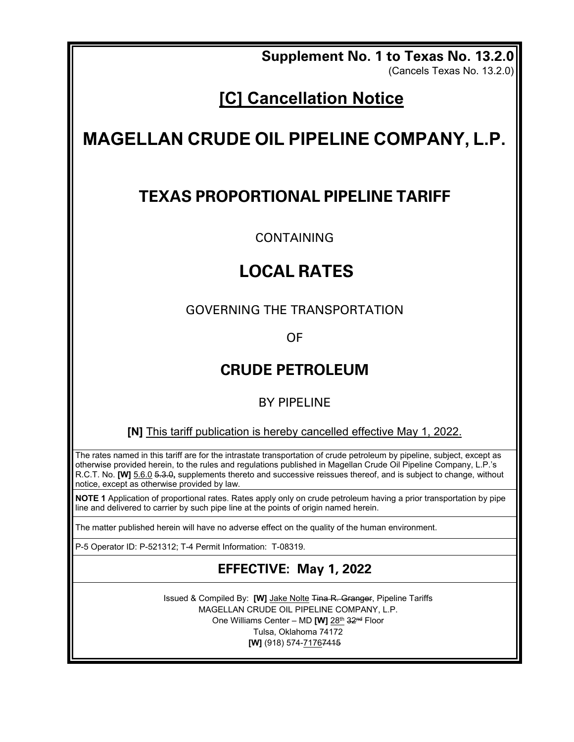**Supplement No. 1 to Texas No. 13.2.0** 

(Cancels Texas No. 13.2.0)

## **[C] Cancellation Notice**

# **MAGELLAN CRUDE OIL PIPELINE COMPANY, L.P.**

## **TEXAS PROPORTIONAL PIPELINE TARIFF**

CONTAINING

## **LOCAL RATES**

GOVERNING THE TRANSPORTATION

OF

## **CRUDE PETROLEUM**

### BY PIPELINE

**[N]** This tariff publication is hereby cancelled effective May 1, 2022.

The rates named in this tariff are for the intrastate transportation of crude petroleum by pipeline, subject, except as otherwise provided herein, to the rules and regulations published in Magellan Crude Oil Pipeline Company, L.P.'s R.C.T. No. **[W]** 5.6.0 5.3.0**,** supplements thereto and successive reissues thereof, and is subject to change, without notice, except as otherwise provided by law.

**NOTE 1** Application of proportional rates. Rates apply only on crude petroleum having a prior transportation by pipe line and delivered to carrier by such pipe line at the points of origin named herein.

The matter published herein will have no adverse effect on the quality of the human environment.

P-5 Operator ID: P-521312; T-4 Permit Information: T-08319.

### **EFFECTIVE: May 1, 2022**

Issued & Compiled By: **[W]** Jake Nolte Tina R. Granger, Pipeline Tariffs MAGELLAN CRUDE OIL PIPELINE COMPANY, L.P. One Williams Center – MD **[W]** 28th 32nd Floor Tulsa, Oklahoma 74172 **[W]** (918) 574-71767415